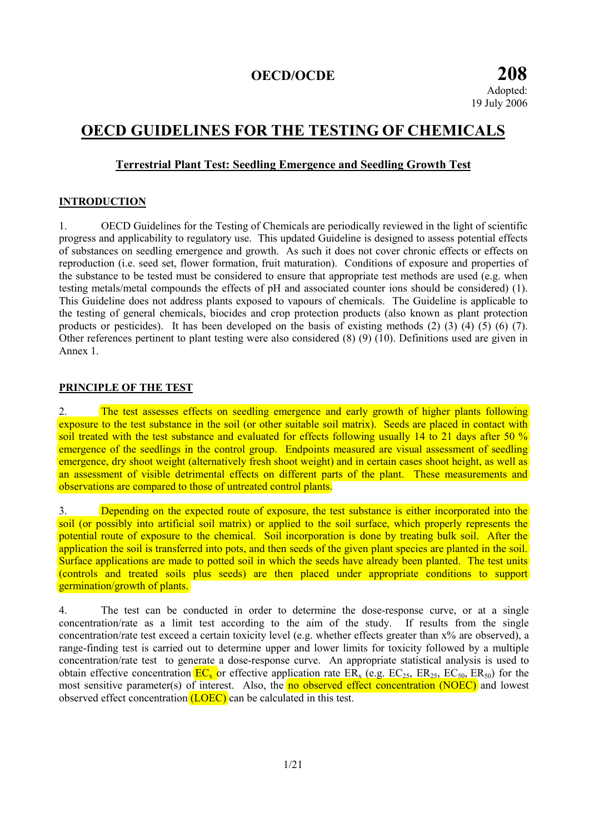# **OECD GUIDELINES FOR THE TESTING OF CHEMICALS**

### **Terrestrial Plant Test: Seedling Emergence and Seedling Growth Test**

### **INTRODUCTION**

1. OECD Guidelines for the Testing of Chemicals are periodically reviewed in the light of scientific progress and applicability to regulatory use. This updated Guideline is designed to assess potential effects of substances on seedling emergence and growth. As such it does not cover chronic effects or effects on reproduction (i.e. seed set, flower formation, fruit maturation). Conditions of exposure and properties of the substance to be tested must be considered to ensure that appropriate test methods are used (e.g. when testing metals/metal compounds the effects of pH and associated counter ions should be considered) (1). This Guideline does not address plants exposed to vapours of chemicals. The Guideline is applicable to the testing of general chemicals, biocides and crop protection products (also known as plant protection products or pesticides). It has been developed on the basis of existing methods  $(2)$   $(3)$   $(4)$   $(5)$   $(6)$   $(7)$ . Other references pertinent to plant testing were also considered (8) (9) (10). Definitions used are given in Annex 1.

### **PRINCIPLE OF THE TEST**

2. The test assesses effects on seedling emergence and early growth of higher plants following exposure to the test substance in the soil (or other suitable soil matrix). Seeds are placed in contact with soil treated with the test substance and evaluated for effects following usually 14 to 21 days after 50 % emergence of the seedlings in the control group. Endpoints measured are visual assessment of seedling emergence, dry shoot weight (alternatively fresh shoot weight) and in certain cases shoot height, as well as an assessment of visible detrimental effects on different parts of the plant. These measurements and observations are compared to those of untreated control plants.

3. Depending on the expected route of exposure, the test substance is either incorporated into the soil (or possibly into artificial soil matrix) or applied to the soil surface, which properly represents the potential route of exposure to the chemical. Soil incorporation is done by treating bulk soil. After the application the soil is transferred into pots, and then seeds of the given plant species are planted in the soil. Surface applications are made to potted soil in which the seeds have already been planted. The test units (controls and treated soils plus seeds) are then placed under appropriate conditions to support germination/growth of plants.

4. The test can be conducted in order to determine the dose-response curve, or at a single concentration/rate as a limit test according to the aim of the study. If results from the single concentration/rate test exceed a certain toxicity level (e.g. whether effects greater than x% are observed), a range-finding test is carried out to determine upper and lower limits for toxicity followed by a multiple concentration/rate test to generate a dose-response curve. An appropriate statistical analysis is used to obtain effective concentration  $EC_x$  or effective application rate  $ER_x$  (e.g.  $EC_{25}$ ,  $ER_{25}$ ,  $EC_{50}$ ,  $ER_{50}$ ) for the most sensitive parameter(s) of interest. Also, the no observed effect concentration (NOEC) and lowest observed effect concentration (LOEC) can be calculated in this test.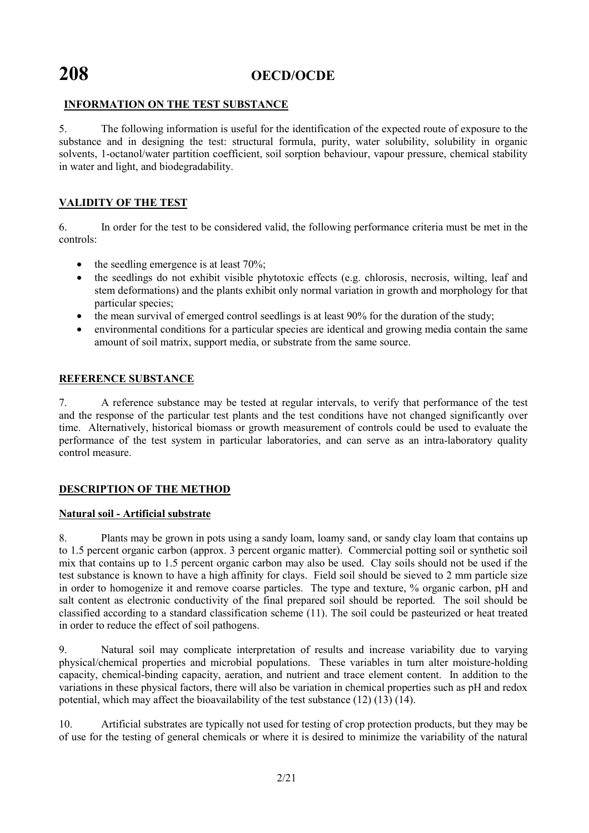## **INFORMATION ON THE TEST SUBSTANCE**

5. The following information is useful for the identification of the expected route of exposure to the substance and in designing the test: structural formula, purity, water solubility, solubility in organic solvents, 1-octanol/water partition coefficient, soil sorption behaviour, vapour pressure, chemical stability in water and light, and biodegradability.

### **VALIDITY OF THE TEST**

6. In order for the test to be considered valid, the following performance criteria must be met in the controls:

- the seedling emergence is at least 70%;
- the seedlings do not exhibit visible phytotoxic effects (e.g. chlorosis, necrosis, wilting, leaf and stem deformations) and the plants exhibit only normal variation in growth and morphology for that particular species;
- the mean survival of emerged control seedlings is at least 90% for the duration of the study;
- environmental conditions for a particular species are identical and growing media contain the same amount of soil matrix, support media, or substrate from the same source.

### **REFERENCE SUBSTANCE**

7. A reference substance may be tested at regular intervals, to verify that performance of the test and the response of the particular test plants and the test conditions have not changed significantly over time. Alternatively, historical biomass or growth measurement of controls could be used to evaluate the performance of the test system in particular laboratories, and can serve as an intra-laboratory quality control measure.

### **DESCRIPTION OF THE METHOD**

### **Natural soil - Artificial substrate**

8. Plants may be grown in pots using a sandy loam, loamy sand, or sandy clay loam that contains up to 1.5 percent organic carbon (approx. 3 percent organic matter). Commercial potting soil or synthetic soil mix that contains up to 1.5 percent organic carbon may also be used. Clay soils should not be used if the test substance is known to have a high affinity for clays. Field soil should be sieved to 2 mm particle size in order to homogenize it and remove coarse particles. The type and texture, % organic carbon, pH and salt content as electronic conductivity of the final prepared soil should be reported. The soil should be classified according to a standard classification scheme (11). The soil could be pasteurized or heat treated in order to reduce the effect of soil pathogens.

9. Natural soil may complicate interpretation of results and increase variability due to varying physical/chemical properties and microbial populations. These variables in turn alter moisture-holding capacity, chemical-binding capacity, aeration, and nutrient and trace element content. In addition to the variations in these physical factors, there will also be variation in chemical properties such as pH and redox potential, which may affect the bioavailability of the test substance  $(12)$   $(13)$   $(14)$ .

10. Artificial substrates are typically not used for testing of crop protection products, but they may be of use for the testing of general chemicals or where it is desired to minimize the variability of the natural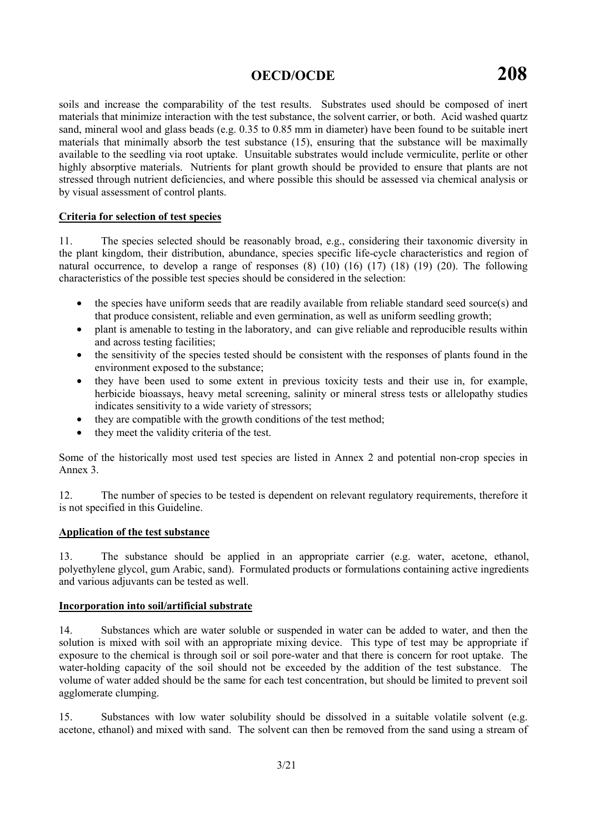soils and increase the comparability of the test results. Substrates used should be composed of inert materials that minimize interaction with the test substance, the solvent carrier, or both. Acid washed quartz sand, mineral wool and glass beads (e.g. 0.35 to 0.85 mm in diameter) have been found to be suitable inert materials that minimally absorb the test substance (15), ensuring that the substance will be maximally available to the seedling via root uptake. Unsuitable substrates would include vermiculite, perlite or other highly absorptive materials. Nutrients for plant growth should be provided to ensure that plants are not stressed through nutrient deficiencies, and where possible this should be assessed via chemical analysis or by visual assessment of control plants.

### **Criteria for selection of test species**

11. The species selected should be reasonably broad, e.g., considering their taxonomic diversity in the plant kingdom, their distribution, abundance, species specific life-cycle characteristics and region of natural occurrence, to develop a range of responses  $(8)$   $(10)$   $(16)$   $(17)$   $(18)$   $(19)$   $(20)$ . The following characteristics of the possible test species should be considered in the selection:

- the species have uniform seeds that are readily available from reliable standard seed source(s) and that produce consistent, reliable and even germination, as well as uniform seedling growth;
- plant is amenable to testing in the laboratory, and can give reliable and reproducible results within and across testing facilities;
- the sensitivity of the species tested should be consistent with the responses of plants found in the environment exposed to the substance;
- they have been used to some extent in previous toxicity tests and their use in, for example, herbicide bioassays, heavy metal screening, salinity or mineral stress tests or allelopathy studies indicates sensitivity to a wide variety of stressors;
- they are compatible with the growth conditions of the test method;
- they meet the validity criteria of the test.

Some of the historically most used test species are listed in Annex 2 and potential non-crop species in Annex 3.

12. The number of species to be tested is dependent on relevant regulatory requirements, therefore it is not specified in this Guideline.

### **Application of the test substance**

13. The substance should be applied in an appropriate carrier (e.g. water, acetone, ethanol, polyethylene glycol, gum Arabic, sand). Formulated products or formulations containing active ingredients and various adjuvants can be tested as well.

### **Incorporation into soil/artificial substrate**

14. Substances which are water soluble or suspended in water can be added to water, and then the solution is mixed with soil with an appropriate mixing device. This type of test may be appropriate if exposure to the chemical is through soil or soil pore-water and that there is concern for root uptake. The water-holding capacity of the soil should not be exceeded by the addition of the test substance. The volume of water added should be the same for each test concentration, but should be limited to prevent soil agglomerate clumping.

15. Substances with low water solubility should be dissolved in a suitable volatile solvent (e.g. acetone, ethanol) and mixed with sand. The solvent can then be removed from the sand using a stream of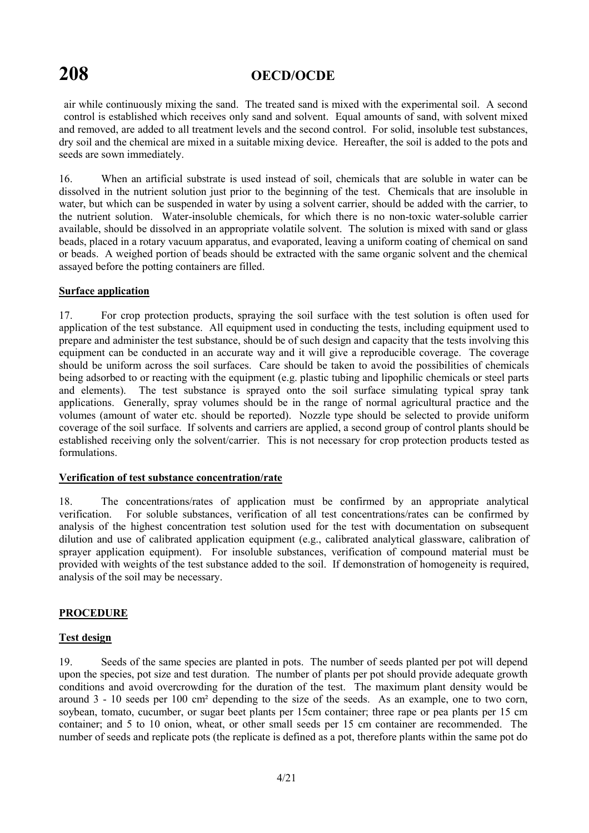air while continuously mixing the sand. The treated sand is mixed with the experimental soil. A second control is established which receives only sand and solvent. Equal amounts of sand, with solvent mixed and removed, are added to all treatment levels and the second control. For solid, insoluble test substances, dry soil and the chemical are mixed in a suitable mixing device. Hereafter, the soil is added to the pots and seeds are sown immediately.

16. When an artificial substrate is used instead of soil, chemicals that are soluble in water can be dissolved in the nutrient solution just prior to the beginning of the test. Chemicals that are insoluble in water, but which can be suspended in water by using a solvent carrier, should be added with the carrier, to the nutrient solution. Water-insoluble chemicals, for which there is no non-toxic water-soluble carrier available, should be dissolved in an appropriate volatile solvent. The solution is mixed with sand or glass beads, placed in a rotary vacuum apparatus, and evaporated, leaving a uniform coating of chemical on sand or beads. A weighed portion of beads should be extracted with the same organic solvent and the chemical assayed before the potting containers are filled.

### **Surface application**

17. For crop protection products, spraying the soil surface with the test solution is often used for application of the test substance. All equipment used in conducting the tests, including equipment used to prepare and administer the test substance, should be of such design and capacity that the tests involving this equipment can be conducted in an accurate way and it will give a reproducible coverage. The coverage should be uniform across the soil surfaces. Care should be taken to avoid the possibilities of chemicals being adsorbed to or reacting with the equipment (e.g. plastic tubing and lipophilic chemicals or steel parts and elements). The test substance is sprayed onto the soil surface simulating typical spray tank applications. Generally, spray volumes should be in the range of normal agricultural practice and the volumes (amount of water etc. should be reported). Nozzle type should be selected to provide uniform coverage of the soil surface. If solvents and carriers are applied, a second group of control plants should be established receiving only the solvent/carrier. This is not necessary for crop protection products tested as formulations.

### **Verification of test substance concentration/rate**

18. The concentrations/rates of application must be confirmed by an appropriate analytical verification. For soluble substances, verification of all test concentrations/rates can be confirmed by analysis of the highest concentration test solution used for the test with documentation on subsequent dilution and use of calibrated application equipment (e.g., calibrated analytical glassware, calibration of sprayer application equipment). For insoluble substances, verification of compound material must be provided with weights of the test substance added to the soil. If demonstration of homogeneity is required, analysis of the soil may be necessary.

### **PROCEDURE**

### **Test design**

19. Seeds of the same species are planted in pots. The number of seeds planted per pot will depend upon the species, pot size and test duration. The number of plants per pot should provide adequate growth conditions and avoid overcrowding for the duration of the test. The maximum plant density would be around 3 - 10 seeds per 100 cm² depending to the size of the seeds. As an example, one to two corn, soybean, tomato, cucumber, or sugar beet plants per 15cm container; three rape or pea plants per 15 cm container; and 5 to 10 onion, wheat, or other small seeds per 15 cm container are recommended. The number of seeds and replicate pots (the replicate is defined as a pot, therefore plants within the same pot do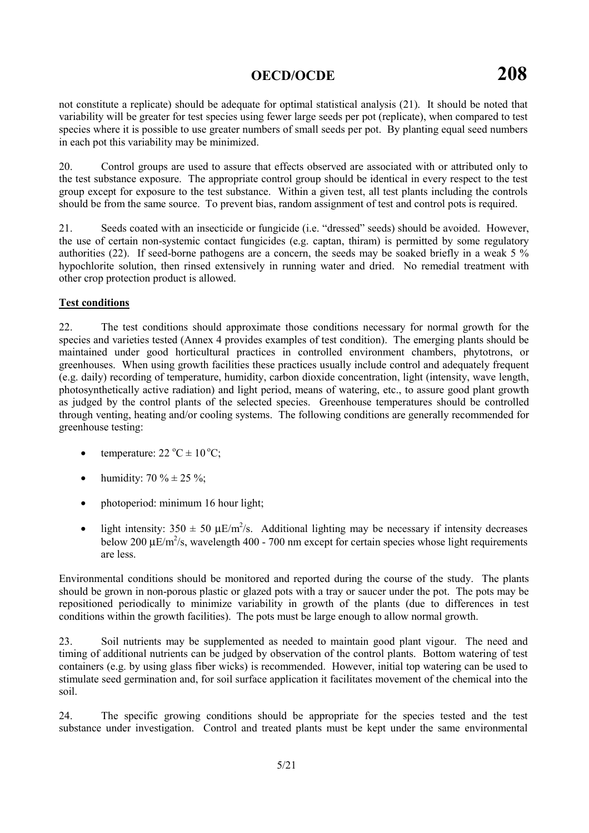not constitute a replicate) should be adequate for optimal statistical analysis (21). It should be noted that variability will be greater for test species using fewer large seeds per pot (replicate), when compared to test species where it is possible to use greater numbers of small seeds per pot. By planting equal seed numbers in each pot this variability may be minimized.

20. Control groups are used to assure that effects observed are associated with or attributed only to the test substance exposure. The appropriate control group should be identical in every respect to the test group except for exposure to the test substance. Within a given test, all test plants including the controls should be from the same source. To prevent bias, random assignment of test and control pots is required.

21. Seeds coated with an insecticide or fungicide (i.e. "dressed" seeds) should be avoided. However, the use of certain non-systemic contact fungicides (e.g. captan, thiram) is permitted by some regulatory authorities (22). If seed-borne pathogens are a concern, the seeds may be soaked briefly in a weak 5 % hypochlorite solution, then rinsed extensively in running water and dried. No remedial treatment with other crop protection product is allowed.

### **Test conditions**

22. The test conditions should approximate those conditions necessary for normal growth for the species and varieties tested (Annex 4 provides examples of test condition). The emerging plants should be maintained under good horticultural practices in controlled environment chambers, phytotrons, or greenhouses. When using growth facilities these practices usually include control and adequately frequent (e.g. daily) recording of temperature, humidity, carbon dioxide concentration, light (intensity, wave length, photosynthetically active radiation) and light period, means of watering, etc., to assure good plant growth as judged by the control plants of the selected species. Greenhouse temperatures should be controlled through venting, heating and/or cooling systems. The following conditions are generally recommended for greenhouse testing:

- temperature:  $22 \text{ °C} \pm 10 \text{ °C}$ ;
- humidity:  $70\% \pm 25\%$ :
- photoperiod: minimum 16 hour light;
- light intensity:  $350 \pm 50 \mu E/m^2/s$ . Additional lighting may be necessary if intensity decreases below 200  $\mu$ E/m<sup>2</sup>/s, wavelength 400 - 700 nm except for certain species whose light requirements are less.

Environmental conditions should be monitored and reported during the course of the study. The plants should be grown in non-porous plastic or glazed pots with a tray or saucer under the pot. The pots may be repositioned periodically to minimize variability in growth of the plants (due to differences in test conditions within the growth facilities). The pots must be large enough to allow normal growth.

23. Soil nutrients may be supplemented as needed to maintain good plant vigour. The need and timing of additional nutrients can be judged by observation of the control plants. Bottom watering of test containers (e.g. by using glass fiber wicks) is recommended. However, initial top watering can be used to stimulate seed germination and, for soil surface application it facilitates movement of the chemical into the soil.

24. The specific growing conditions should be appropriate for the species tested and the test substance under investigation. Control and treated plants must be kept under the same environmental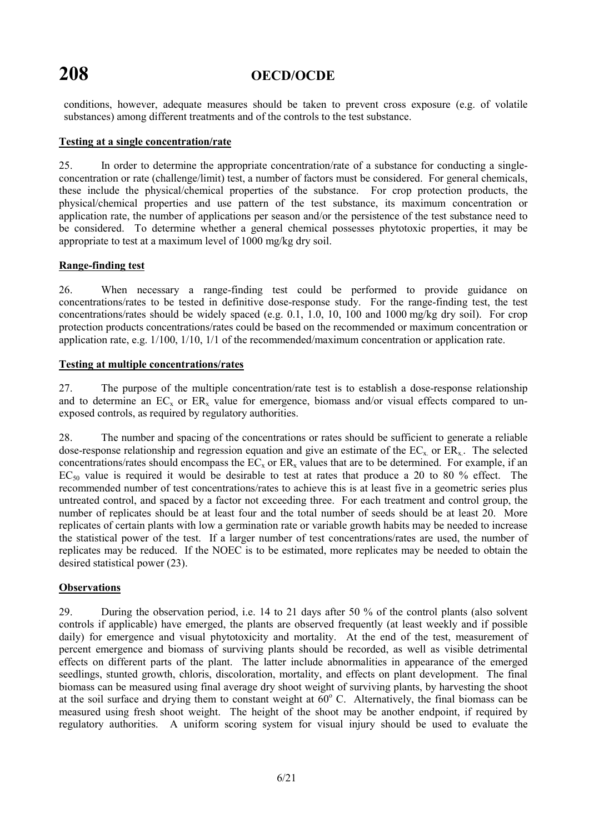conditions, however, adequate measures should be taken to prevent cross exposure (e.g. of volatile substances) among different treatments and of the controls to the test substance.

### **Testing at a single concentration/rate**

25. In order to determine the appropriate concentration/rate of a substance for conducting a singleconcentration or rate (challenge/limit) test, a number of factors must be considered. For general chemicals, these include the physical/chemical properties of the substance. For crop protection products, the physical/chemical properties and use pattern of the test substance, its maximum concentration or application rate, the number of applications per season and/or the persistence of the test substance need to be considered. To determine whether a general chemical possesses phytotoxic properties, it may be appropriate to test at a maximum level of 1000 mg/kg dry soil.

### **Range-finding test**

26. When necessary a range-finding test could be performed to provide guidance on concentrations/rates to be tested in definitive dose-response study. For the range-finding test, the test concentrations/rates should be widely spaced (e.g. 0.1, 1.0, 10, 100 and 1000 mg/kg dry soil). For crop protection products concentrations/rates could be based on the recommended or maximum concentration or application rate, e.g. 1/100, 1/10, 1/1 of the recommended/maximum concentration or application rate.

### **Testing at multiple concentrations/rates**

27. The purpose of the multiple concentration/rate test is to establish a dose-response relationship and to determine an  $EC_x$  or  $ER_x$  value for emergence, biomass and/or visual effects compared to unexposed controls, as required by regulatory authorities.

28. The number and spacing of the concentrations or rates should be sufficient to generate a reliable dose-response relationship and regression equation and give an estimate of the  $EC_x$  or  $ER_x$ . The selected concentrations/rates should encompass the  $\overline{EC_x}$  or  $\overline{ER_x}$  values that are to be determined. For example, if an  $EC_{50}$  value is required it would be desirable to test at rates that produce a 20 to 80 % effect. The recommended number of test concentrations/rates to achieve this is at least five in a geometric series plus untreated control, and spaced by a factor not exceeding three. For each treatment and control group, the number of replicates should be at least four and the total number of seeds should be at least 20. More replicates of certain plants with low a germination rate or variable growth habits may be needed to increase the statistical power of the test. If a larger number of test concentrations/rates are used, the number of replicates may be reduced. If the NOEC is to be estimated, more replicates may be needed to obtain the desired statistical power (23).

### **Observations**

29. During the observation period, i.e. 14 to 21 days after 50 % of the control plants (also solvent controls if applicable) have emerged, the plants are observed frequently (at least weekly and if possible daily) for emergence and visual phytotoxicity and mortality. At the end of the test, measurement of percent emergence and biomass of surviving plants should be recorded, as well as visible detrimental effects on different parts of the plant. The latter include abnormalities in appearance of the emerged seedlings, stunted growth, chloris, discoloration, mortality, and effects on plant development. The final biomass can be measured using final average dry shoot weight of surviving plants, by harvesting the shoot at the soil surface and drying them to constant weight at  $60^{\circ}$  C. Alternatively, the final biomass can be measured using fresh shoot weight. The height of the shoot may be another endpoint, if required by regulatory authorities. A uniform scoring system for visual injury should be used to evaluate the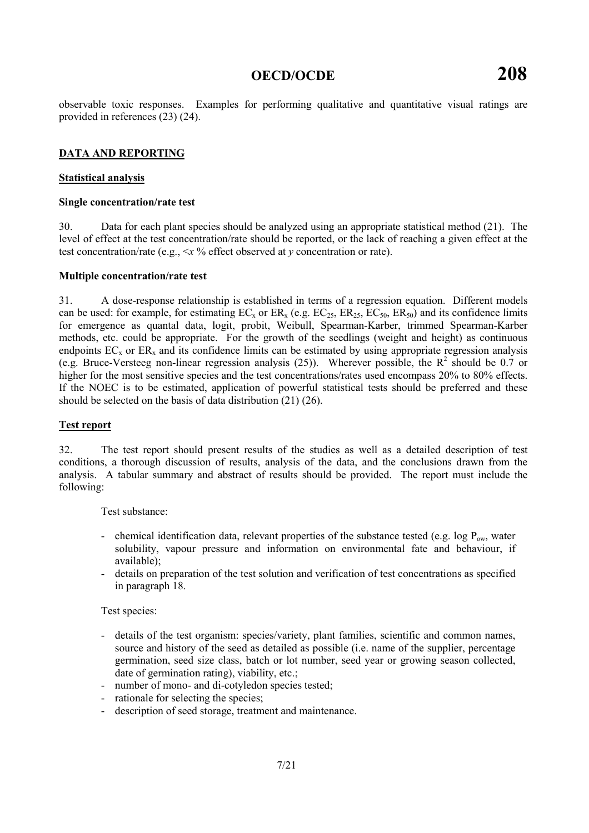### **DATA AND REPORTING**

### **Statistical analysis**

### **Single concentration/rate test**

30. Data for each plant species should be analyzed using an appropriate statistical method (21). The level of effect at the test concentration/rate should be reported, or the lack of reaching a given effect at the test concentration/rate (e.g., <*x* % effect observed at *y* concentration or rate).

### **Multiple concentration/rate test**

31. A dose-response relationship is established in terms of a regression equation. Different models can be used: for example, for estimating  $EC_x$  or  $ER_x$  (e.g.  $EC_{25}$ ,  $ER_{25}$ ,  $EC_{50}$ ,  $ER_{50}$ ) and its confidence limits for emergence as quantal data, logit, probit, Weibull, Spearman-Karber, trimmed Spearman-Karber methods, etc. could be appropriate. For the growth of the seedlings (weight and height) as continuous endpoints  $EC_x$  or  $ER_x$  and its confidence limits can be estimated by using appropriate regression analysis (e.g. Bruce-Versteeg non-linear regression analysis (25)). Wherever possible, the  $R^2$  should be 0.7 or higher for the most sensitive species and the test concentrations/rates used encompass 20% to 80% effects. If the NOEC is to be estimated, application of powerful statistical tests should be preferred and these should be selected on the basis of data distribution (21) (26).

### **Test report**

32. The test report should present results of the studies as well as a detailed description of test conditions, a thorough discussion of results, analysis of the data, and the conclusions drawn from the analysis. A tabular summary and abstract of results should be provided. The report must include the following:

Test substance:

- chemical identification data, relevant properties of the substance tested (e.g. log  $P_{ow}$ , water solubility, vapour pressure and information on environmental fate and behaviour, if available);
- details on preparation of the test solution and verification of test concentrations as specified in paragraph 18.

### Test species:

- details of the test organism: species/variety, plant families, scientific and common names, source and history of the seed as detailed as possible (i.e. name of the supplier, percentage germination, seed size class, batch or lot number, seed year or growing season collected, date of germination rating), viability, etc.;
- number of mono- and di-cotyledon species tested;
- rationale for selecting the species;
- description of seed storage, treatment and maintenance.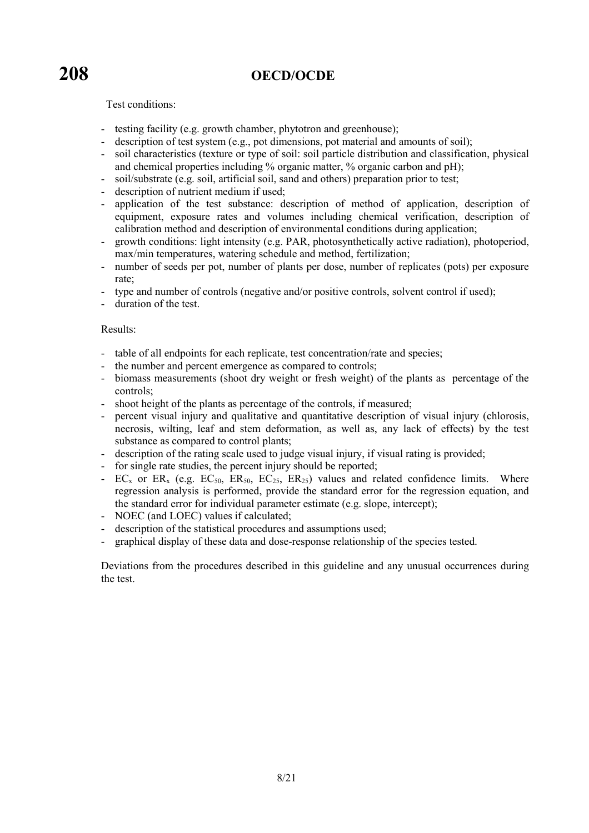Test conditions:

- testing facility (e.g. growth chamber, phytotron and greenhouse);
- description of test system (e.g., pot dimensions, pot material and amounts of soil);
- soil characteristics (texture or type of soil: soil particle distribution and classification, physical and chemical properties including % organic matter, % organic carbon and pH);
- soil/substrate (e.g. soil, artificial soil, sand and others) preparation prior to test;
- description of nutrient medium if used;
- application of the test substance: description of method of application, description of equipment, exposure rates and volumes including chemical verification, description of calibration method and description of environmental conditions during application;
- growth conditions: light intensity (e.g. PAR, photosynthetically active radiation), photoperiod, max/min temperatures, watering schedule and method, fertilization;
- number of seeds per pot, number of plants per dose, number of replicates (pots) per exposure rate;
- type and number of controls (negative and/or positive controls, solvent control if used);
- duration of the test.

### Results:

- table of all endpoints for each replicate, test concentration/rate and species;
- the number and percent emergence as compared to controls;
- biomass measurements (shoot dry weight or fresh weight) of the plants as percentage of the controls;
- shoot height of the plants as percentage of the controls, if measured;
- percent visual injury and qualitative and quantitative description of visual injury (chlorosis, necrosis, wilting, leaf and stem deformation, as well as, any lack of effects) by the test substance as compared to control plants;
- description of the rating scale used to judge visual injury, if visual rating is provided;
- for single rate studies, the percent injury should be reported;
- $EC_x$  or  $ER_x$  (e.g.  $EC_{50}$ ,  $ER_{50}$ ,  $EC_{25}$ ,  $ER_{25}$ ) values and related confidence limits. Where regression analysis is performed, provide the standard error for the regression equation, and the standard error for individual parameter estimate (e.g. slope, intercept);
- NOEC (and LOEC) values if calculated;
- description of the statistical procedures and assumptions used:
- graphical display of these data and dose-response relationship of the species tested.

 Deviations from the procedures described in this guideline and any unusual occurrences during the test.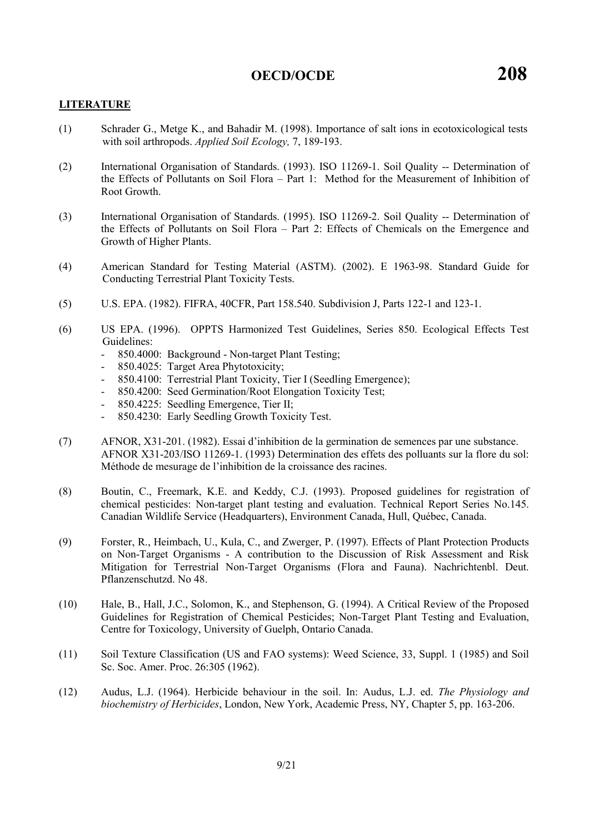### **LITERATURE**

- (1) Schrader G., Metge K., and Bahadir M. (1998). Importance of salt ions in ecotoxicological tests with soil arthropods. *Applied Soil Ecology,* 7, 189-193.
- (2) International Organisation of Standards. (1993). ISO 11269-1. Soil Quality -- Determination of the Effects of Pollutants on Soil Flora – Part 1: Method for the Measurement of Inhibition of Root Growth.
- (3) International Organisation of Standards. (1995). ISO 11269-2. Soil Quality -- Determination of the Effects of Pollutants on Soil Flora – Part 2: Effects of Chemicals on the Emergence and Growth of Higher Plants.
- (4) American Standard for Testing Material (ASTM). (2002). E 1963-98. Standard Guide for Conducting Terrestrial Plant Toxicity Tests.
- (5) U.S. EPA. (1982). FIFRA, 40CFR, Part 158.540. Subdivision J, Parts 122-1 and 123-1.
- (6) US EPA. (1996). OPPTS Harmonized Test Guidelines, Series 850. Ecological Effects Test Guidelines:
	- 850.4000: Background Non-target Plant Testing;
	- 850.4025: Target Area Phytotoxicity;
	- 850.4100: Terrestrial Plant Toxicity, Tier I (Seedling Emergence);
	- 850.4200: Seed Germination/Root Elongation Toxicity Test;
	- 850.4225: Seedling Emergence, Tier II;
	- 850.4230: Early Seedling Growth Toxicity Test.
- (7) AFNOR, X31-201. (1982). Essai d'inhibition de la germination de semences par une substance. AFNOR X31-203/ISO 11269-1. (1993) Determination des effets des polluants sur la flore du sol: Méthode de mesurage de l'inhibition de la croissance des racines.
- (8) Boutin, C., Freemark, K.E. and Keddy, C.J. (1993). Proposed guidelines for registration of chemical pesticides: Non-target plant testing and evaluation. Technical Report Series No.145. Canadian Wildlife Service (Headquarters), Environment Canada, Hull, Québec, Canada.
- (9) Forster, R., Heimbach, U., Kula, C., and Zwerger, P. (1997). Effects of Plant Protection Products on Non-Target Organisms - A contribution to the Discussion of Risk Assessment and Risk Mitigation for Terrestrial Non-Target Organisms (Flora and Fauna). Nachrichtenbl. Deut. Pflanzenschutzd. No 48.
- (10) Hale, B., Hall, J.C., Solomon, K., and Stephenson, G. (1994). A Critical Review of the Proposed Guidelines for Registration of Chemical Pesticides; Non-Target Plant Testing and Evaluation, Centre for Toxicology, University of Guelph, Ontario Canada.
- (11) Soil Texture Classification (US and FAO systems): Weed Science, 33, Suppl. 1 (1985) and Soil Sc. Soc. Amer. Proc. 26:305 (1962).
- (12) Audus, L.J. (1964). Herbicide behaviour in the soil. In: Audus, L.J. ed. *The Physiology and biochemistry of Herbicides*, London, New York, Academic Press, NY, Chapter 5, pp. 163-206.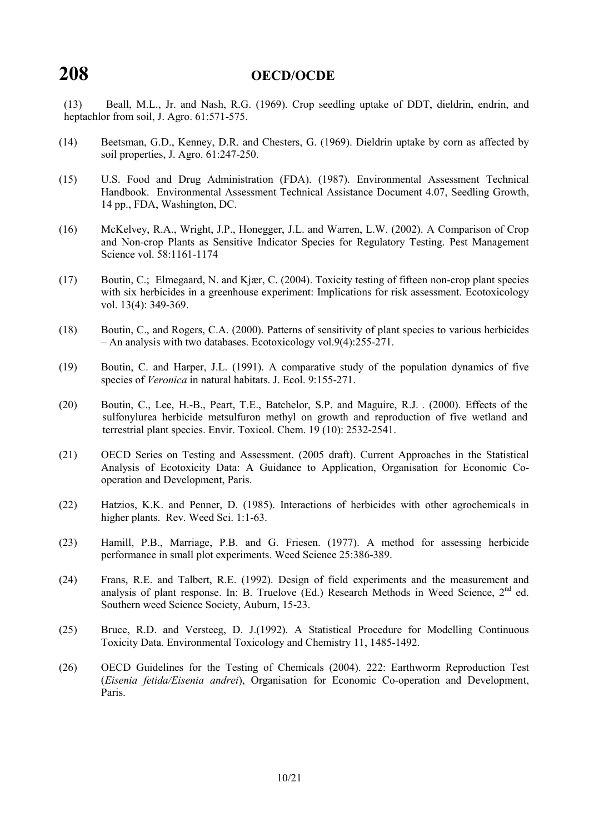(13) Beall, M.L., Jr. and Nash, R.G. (1969). Crop seedling uptake of DDT, dieldrin, endrin, and heptachlor from soil, J. Agro. 61:571-575.

- (14) Beetsman, G.D., Kenney, D.R. and Chesters, G. (1969). Dieldrin uptake by corn as affected by soil properties, J. Agro. 61:247-250.
- (15) U.S. Food and Drug Administration (FDA). (1987). Environmental Assessment Technical Handbook. Environmental Assessment Technical Assistance Document 4.07, Seedling Growth, 14 pp., FDA, Washington, DC.
- (16) McKelvey, R.A., Wright, J.P., Honegger, J.L. and Warren, L.W. (2002). A Comparison of Crop and Non-crop Plants as Sensitive Indicator Species for Regulatory Testing. Pest Management Science vol. 58:1161-1174
- (17) Boutin, C.; Elmegaard, N. and Kjær, C. (2004). Toxicity testing of fifteen non-crop plant species with six herbicides in a greenhouse experiment: Implications for risk assessment. Ecotoxicology vol. 13(4): 349-369.
- (18) Boutin, C., and Rogers, C.A. (2000). Patterns of sensitivity of plant species to various herbicides – An analysis with two databases. Ecotoxicology vol.9(4):255-271.
- (19) Boutin, C. and Harper, J.L. (1991). A comparative study of the population dynamics of five species of *Veronica* in natural habitats. J. Ecol. 9:155-271.
- (20) Boutin, C., Lee, H.-B., Peart, T.E., Batchelor, S.P. and Maguire, R.J. . (2000). Effects of the sulfonylurea herbicide metsulfuron methyl on growth and reproduction of five wetland and terrestrial plant species. Envir. Toxicol. Chem. 19 (10): 2532-2541.
- (21) OECD Series on Testing and Assessment. (2005 draft). Current Approaches in the Statistical Analysis of Ecotoxicity Data: A Guidance to Application, Organisation for Economic Cooperation and Development, Paris.
- (22) Hatzios, K.K. and Penner, D. (1985). Interactions of herbicides with other agrochemicals in higher plants. Rev. Weed Sci. 1:1-63.
- (23) Hamill, P.B., Marriage, P.B. and G. Friesen. (1977). A method for assessing herbicide performance in small plot experiments. Weed Science 25:386-389.
- (24) Frans, R.E. and Talbert, R.E. (1992). Design of field experiments and the measurement and analysis of plant response. In: B. Truelove (Ed.) Research Methods in Weed Science,  $2<sup>nd</sup>$  ed. Southern weed Science Society, Auburn, 15-23.
- (25) Bruce, R.D. and Versteeg, D. J.(1992). A Statistical Procedure for Modelling Continuous Toxicity Data. Environmental Toxicology and Chemistry 11, 1485-1492.
- (26) OECD Guidelines for the Testing of Chemicals (2004). 222: Earthworm Reproduction Test (*Eisenia fetida/Eisenia andrei*), Organisation for Economic Co-operation and Development, Paris.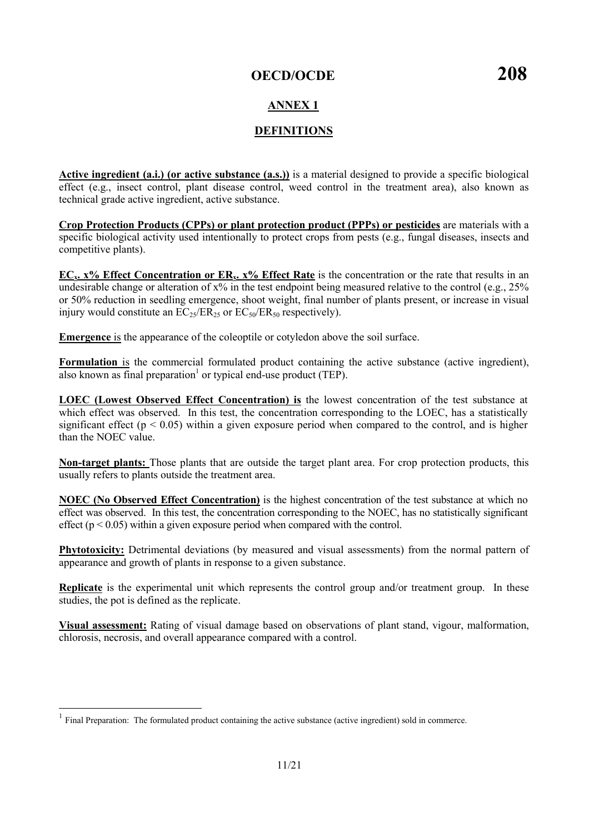### **ANNEX 1**

## **DEFINITIONS**

**Active ingredient (a.i.) (or active substance (a.s.))** is a material designed to provide a specific biological effect (e.g., insect control, plant disease control, weed control in the treatment area), also known as technical grade active ingredient, active substance.

**Crop Protection Products (CPPs) or plant protection product (PPPs) or pesticides** are materials with a specific biological activity used intentionally to protect crops from pests (e.g., fungal diseases, insects and competitive plants).

**EC<sub>x</sub>. x% Effect Concentration or ER<sub>x</sub>. x% Effect Rate** is the concentration or the rate that results in an undesirable change or alteration of  $x\%$  in the test endpoint being measured relative to the control (e.g., 25%) or 50% reduction in seedling emergence, shoot weight, final number of plants present, or increase in visual injury would constitute an  $EC_{25}/ER_{25}$  or  $EC_{50}/ER_{50}$  respectively).

**Emergence** is the appearance of the coleoptile or cotyledon above the soil surface.

Formulation is the commercial formulated product containing the active substance (active ingredient), also known as final preparation<sup>1</sup> or typical end-use product (TEP).

**LOEC (Lowest Observed Effect Concentration) is** the lowest concentration of the test substance at which effect was observed. In this test, the concentration corresponding to the LOEC, has a statistically significant effect ( $p < 0.05$ ) within a given exposure period when compared to the control, and is higher than the NOEC value.

**Non-target plants:** Those plants that are outside the target plant area. For crop protection products, this usually refers to plants outside the treatment area.

**NOEC (No Observed Effect Concentration)** is the highest concentration of the test substance at which no effect was observed. In this test, the concentration corresponding to the NOEC, has no statistically significant effect ( $p < 0.05$ ) within a given exposure period when compared with the control.

**Phytotoxicity:** Detrimental deviations (by measured and visual assessments) from the normal pattern of appearance and growth of plants in response to a given substance.

**Replicate** is the experimental unit which represents the control group and/or treatment group. In these studies, the pot is defined as the replicate.

**Visual assessment:** Rating of visual damage based on observations of plant stand, vigour, malformation, chlorosis, necrosis, and overall appearance compared with a control.

Final Preparation: The formulated product containing the active substance (active ingredient) sold in commerce.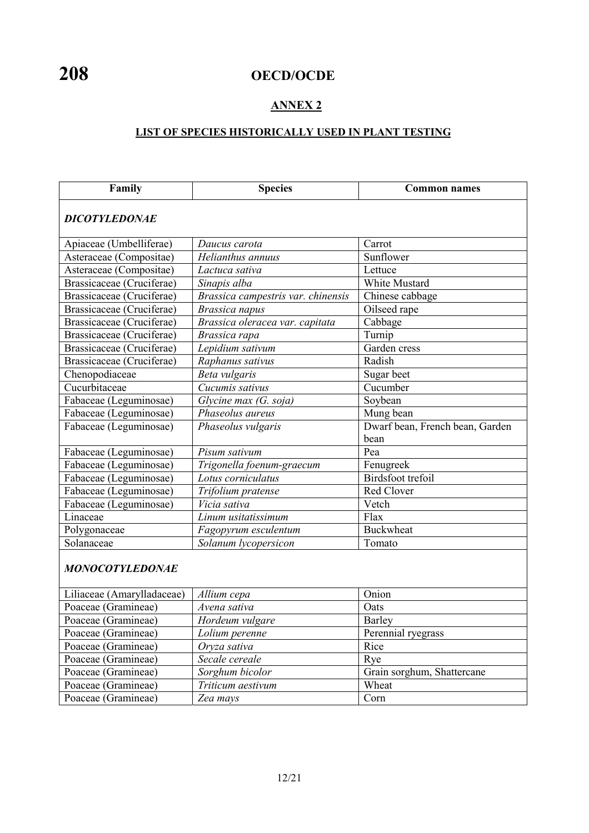# **ANNEX 2**

# **LIST OF SPECIES HISTORICALLY USED IN PLANT TESTING**

| Family                     | <b>Species</b>                     | <b>Common names</b>             |  |  |  |  |  |  |  |
|----------------------------|------------------------------------|---------------------------------|--|--|--|--|--|--|--|
| <b>DICOTYLEDONAE</b>       |                                    |                                 |  |  |  |  |  |  |  |
| Apiaceae (Umbelliferae)    | Daucus carota                      | Carrot                          |  |  |  |  |  |  |  |
| Asteraceae (Compositae)    | Helianthus annuus                  | Sunflower                       |  |  |  |  |  |  |  |
| Asteraceae (Compositae)    | Lactuca sativa                     | Lettuce                         |  |  |  |  |  |  |  |
| Brassicaceae (Cruciferae)  | Sinapis alba                       | White Mustard                   |  |  |  |  |  |  |  |
| Brassicaceae (Cruciferae)  | Brassica campestris var. chinensis | Chinese cabbage                 |  |  |  |  |  |  |  |
| Brassicaceae (Cruciferae)  | Brassica napus                     | Oilseed rape                    |  |  |  |  |  |  |  |
| Brassicaceae (Cruciferae)  | Brassica oleracea var. capitata    | Cabbage                         |  |  |  |  |  |  |  |
| Brassicaceae (Cruciferae)  | Brassica rapa                      | Turnip                          |  |  |  |  |  |  |  |
| Brassicaceae (Cruciferae)  | Lepidium sativum                   | Garden cress                    |  |  |  |  |  |  |  |
| Brassicaceae (Cruciferae)  | Raphanus sativus                   | Radish                          |  |  |  |  |  |  |  |
| Chenopodiaceae             | Beta vulgaris                      | Sugar beet                      |  |  |  |  |  |  |  |
| Cucurbitaceae              | Cucumis sativus                    | Cucumber                        |  |  |  |  |  |  |  |
| Fabaceae (Leguminosae)     | Glycine max (G. soja)              | Soybean                         |  |  |  |  |  |  |  |
| Fabaceae (Leguminosae)     | Phaseolus aureus                   | Mung bean                       |  |  |  |  |  |  |  |
| Fabaceae (Leguminosae)     | Phaseolus vulgaris                 | Dwarf bean, French bean, Garden |  |  |  |  |  |  |  |
|                            |                                    | bean                            |  |  |  |  |  |  |  |
| Fabaceae (Leguminosae)     | Pisum sativum                      | Pea                             |  |  |  |  |  |  |  |
| Fabaceae (Leguminosae)     | Trigonella foenum-graecum          | Fenugreek                       |  |  |  |  |  |  |  |
| Fabaceae (Leguminosae)     | Lotus corniculatus                 | <b>Birdsfoot</b> trefoil        |  |  |  |  |  |  |  |
| Fabaceae (Leguminosae)     | Trifolium pratense                 | Red Clover                      |  |  |  |  |  |  |  |
| Fabaceae (Leguminosae)     | Vicia sativa                       | Vetch                           |  |  |  |  |  |  |  |
| Linaceae                   | Linum usitatissimum                | Flax                            |  |  |  |  |  |  |  |
| Polygonaceae               | Fagopyrum esculentum               | <b>Buckwheat</b>                |  |  |  |  |  |  |  |
| Solanaceae                 | Solanum lycopersicon               | Tomato                          |  |  |  |  |  |  |  |
| <b>MONOCOTYLEDONAE</b>     |                                    |                                 |  |  |  |  |  |  |  |
| Liliaceae (Amarylladaceae) | Allium cepa                        | Onion                           |  |  |  |  |  |  |  |

| Liliaceae (Amarylladaceae) | Allium cepa       | <b>Onion</b>               |
|----------------------------|-------------------|----------------------------|
| Poaceae (Gramineae)        | Avena sativa      | Oats                       |
| Poaceae (Gramineae)        | Hordeum vulgare   | Barley                     |
| Poaceae (Gramineae)        | Lolium perenne    | Perennial ryegrass         |
| Poaceae (Gramineae)        | Oryza sativa      | Rice                       |
| Poaceae (Gramineae)        | Secale cereale    | Rve                        |
| Poaceae (Gramineae)        | Sorghum bicolor   | Grain sorghum, Shattercane |
| Poaceae (Gramineae)        | Triticum aestivum | Wheat                      |
| Poaceae (Gramineae)        | Zea mays          | Corn                       |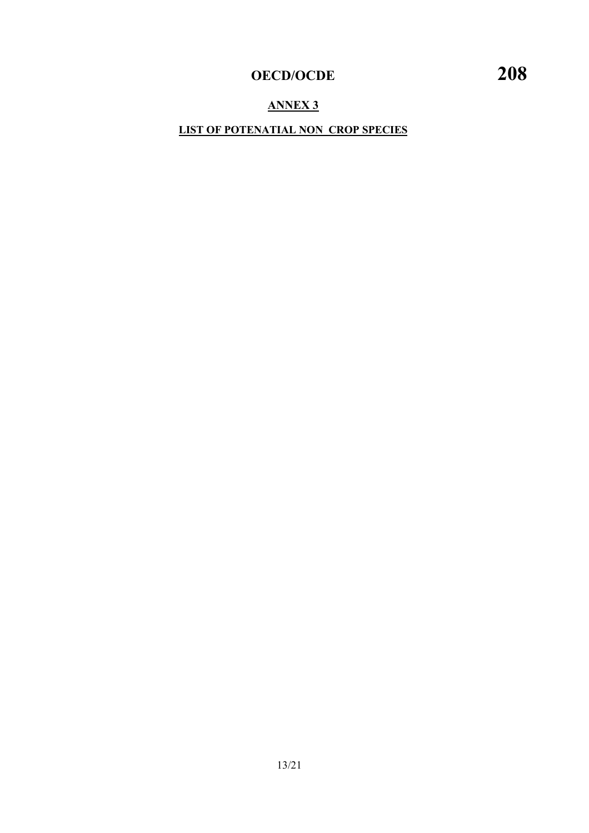# **ANNEX 3**

# **LIST OF POTENATIAL NON\_CROP SPECIES**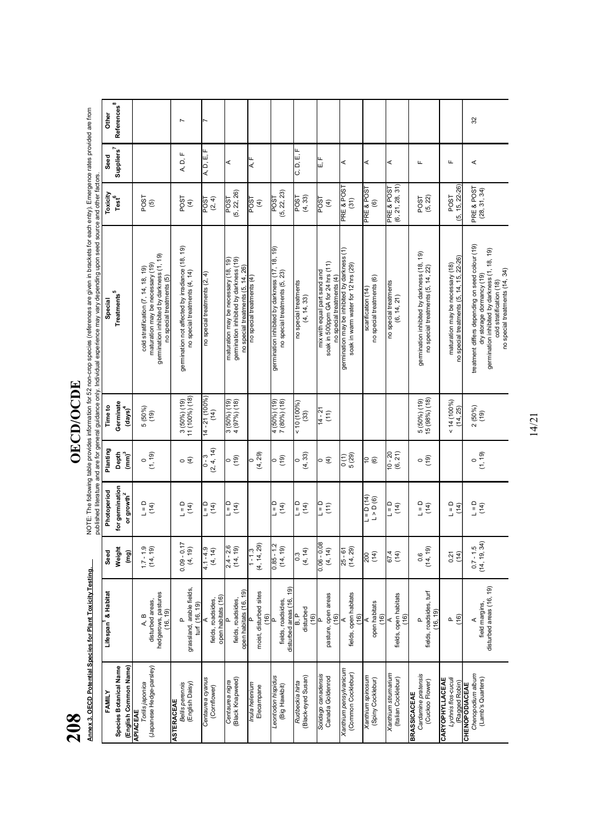Annex 3. OECD Potential Species for Plant Toxicity Testing. **Annex 3. OECD Potential Species for Plant Toxicity Testing.**  208

# **OECD/OCDE 208 OECD/OCDE**

NOTE: The following table provides information for 52 non-crop species (references are given in brackets for each entry). Emergence rates provided are from NOTE: The following table provides information for 52 non-crop species (references are given in brackets for each entry). Emergence rates provided are from published literature and are for general guidance only. Individual experience may vary depending upon seed source and other factors.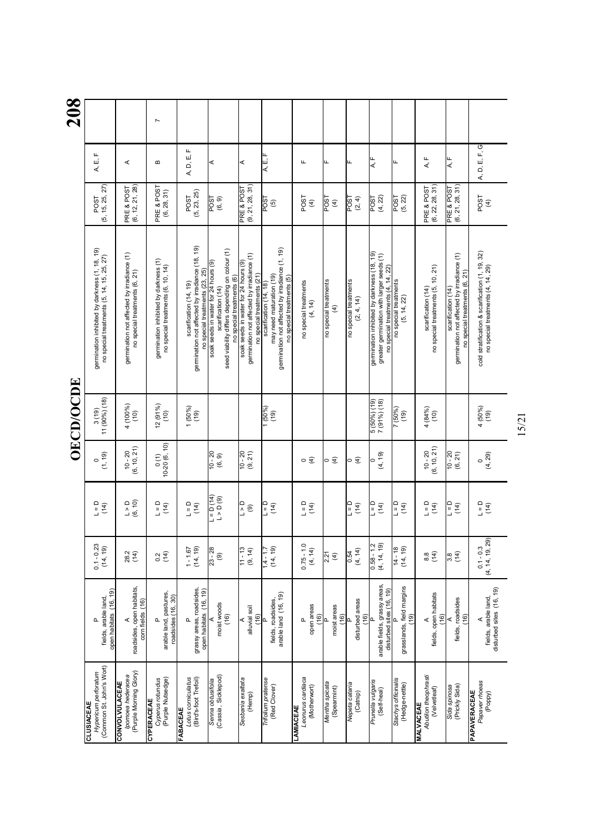| 208              |                                                                                            |                                                                             | $\overline{ }$                                                             |                                                                                                             |                                                                                                                                           |                                                                                                                  |                                                                                                                                   |                                                       |                                                  |                                     |                                                                                                                              |                                       |                                                          |                                                                                                   |                                                                                      |
|------------------|--------------------------------------------------------------------------------------------|-----------------------------------------------------------------------------|----------------------------------------------------------------------------|-------------------------------------------------------------------------------------------------------------|-------------------------------------------------------------------------------------------------------------------------------------------|------------------------------------------------------------------------------------------------------------------|-----------------------------------------------------------------------------------------------------------------------------------|-------------------------------------------------------|--------------------------------------------------|-------------------------------------|------------------------------------------------------------------------------------------------------------------------------|---------------------------------------|----------------------------------------------------------|---------------------------------------------------------------------------------------------------|--------------------------------------------------------------------------------------|
|                  | Щ<br>யி<br>∢                                                                               | ⋖                                                                           | $\mathbf{a}$                                                               | щ<br>A, D, E, i                                                                                             | ⋖                                                                                                                                         | ⋖                                                                                                                | A, E, F                                                                                                                           | Щ                                                     | Щ                                                | Щ                                   | ⊥<br>≺                                                                                                                       | щ                                     | щ<br><                                                   | A, F                                                                                              | A, D, E, F, G                                                                        |
|                  | (5, 15, 25, 27)<br>POST                                                                    | (6, 12, 21, 28)<br>PRE & POST                                               | PRE & POST<br>(6, 28, 31)                                                  | POST<br>(5, 23, 25)                                                                                         | POST<br>(6, 9)                                                                                                                            | (9, 21, 28, 31)<br>PRE & POST                                                                                    | <b>LSOd</b><br>$\widehat{\mathbf{e}}$                                                                                             | POST<br>$\widehat{f}$                                 | $\overline{150d}$<br>$\widehat{\mathcal{F}}$     | (2, 4)<br>$\frac{1}{50}$            | (4, 22)<br>$\frac{1}{5004}$                                                                                                  | (5, 22)<br><b>POST</b>                | (6, 22, 28, 31)<br>PRE & POST                            | (6, 21, 28, 31)<br>PRE & POST                                                                     | POST<br>$\widehat{f}$                                                                |
|                  | germination inhibited by darkness (1, 18, 19)<br>no special treatments (5, 14, 15, 25, 27) | germination not affected by irradiance (1)<br>no special treatments (6, 21) | germination inhibited by darkness (1)<br>no special treatments (6, 10, 14) | germination not affected by irradiance (18, 19)<br>no special treatments (23, 25)<br>scarification (14, 19) | seed viability differs depending on colour (1)<br>soak seeds in water for 24 hours (9)<br>no special treatments (6)<br>scarification (14) | germination not affected by irradiance (1)<br>soak seeds in water for 24 hours (9)<br>no special treatments (21) | germination not affected by irradiance (1, 19)<br>may need maturation (19)<br>no special treatments (5)<br>scarification (14, 18) | no special treatments<br>(4, 14)                      | no special treatments<br>$\widehat{\mathcal{F}}$ | no special treatments<br>(2, 4, 14) | germination inhibited by darkness (18, 19)<br>greater germination with larger seeds (1)<br>no special treatments (4, 14, 22) | no special treatments<br>(5, 14, 22)  | no special treatments (5, 10, 21)<br>scarification (14)  | germination not affected by irradiance (1)<br>no special treatments (6, 21)<br>scarification (14) | cold stratification & scarification (1, 19, 32)<br>no special treatments (4, 14, 29) |
| <b>OECD/OCDE</b> | $\frac{3(19)}{(90\%)}$<br>11 (90%) (18)                                                    | $4(100\%)$<br>$(10)$                                                        | $12(91%)$<br>$(10)$                                                        | $(60%)$<br>(19)                                                                                             |                                                                                                                                           |                                                                                                                  | $(60\%)$<br>(190                                                                                                                  |                                                       |                                                  |                                     | 5 (50%) (19)<br>7 (91%) (18)                                                                                                 | 7 (50%)<br>(19)                       | $4(84%)$<br>(10)                                         |                                                                                                   | $4(50%)$<br>(19)                                                                     |
|                  | (1, 19)<br>$\circ$                                                                         | (6, 10, 21)<br>$10 - 20$                                                    | $\begin{bmatrix} 0 & (1) \\ 10-20 & (6, 10) \end{bmatrix}$                 |                                                                                                             | $10 - 20$<br>$(6, 9)$                                                                                                                     | $\frac{10 - 20}{(9, 21)}$                                                                                        |                                                                                                                                   | $\circ \hat{\mathfrak{X}}$                            | ο£                                               | $\circ \hat{\mathfrak{t}}$          | (4, 19)<br>$\circ$                                                                                                           |                                       | (6, 10, 21)<br>$10 - 20$                                 | (6, 21)                                                                                           | (4, 29)<br>$\circ$                                                                   |
|                  | $\Box = \Box$<br>(14)                                                                      | $1 > D$<br>(6, 10)                                                          | $\frac{1}{2}$<br>(14)                                                      | $\begin{array}{c}\n\Box \\ \Box \\ \Box\n\end{array}$                                                       | $1 - D(14)$<br>$1 - D(9)$                                                                                                                 | $\frac{1}{2}$<br>$\circledcirc$                                                                                  | $\frac{1}{2}$<br>(14)                                                                                                             | $L = D$<br>(14)                                       |                                                  | $1 = 0$<br>(14)                     | $\Box = \Box$<br>(14)                                                                                                        | $\Box$<br>(14)                        | $\begin{array}{c}\n0 \\ 1\n\end{array}$<br>(14)          | ۹<br>"<br>(14)                                                                                    | $\begin{array}{c}\n\Box \\ \Box \\ \Box\n\end{array}$                                |
|                  | $0.1 - 0.23$<br>(14, 19)                                                                   | 28.2<br>(14)                                                                | $\frac{2}{3}$                                                              | (14, 19)<br>$1 - 1.67$                                                                                      | $23 - 28$<br>$\circledcirc$                                                                                                               | $11 - 13$<br>(9, 14)                                                                                             | (14, 19)<br>$1.4 - 1.7$                                                                                                           | $0.75 - 1.0$<br>(4, 14)                               | $\frac{2.21}{4}$                                 | $\frac{0.54}{(4.14)}$               | (4, 14, 19)<br>$0.58 - 1.2$                                                                                                  | (14, 19)<br>$14 - 18$                 | $rac{8}{6}$                                              | $3.8$<br>(14)                                                                                     | (4, 14, 19, 29)<br>$0.1 - 0.3$                                                       |
|                  | open habitats (16, 19)<br>fields, arable land,                                             | roadsides, open habitats,<br>corn fields (16)<br>⋖                          | arable land, pastures,<br>roadsides (16, 30)<br>Q,                         | grassy areas, roadsides,<br>open habitats (16, 19)<br>Δ.                                                    | moist woods<br>(16)                                                                                                                       | alluvial soil<br>(16)<br>⋖                                                                                       | arable land (16, 19)<br>fields, roadsides,<br>n.                                                                                  | open areas<br>(16)<br>Δ.                              | moist areas<br>(16)                              | disturbed areas<br>(16)             | arable fields, grassy areas,<br>disturbed sites (16, 19)<br>Q,                                                               | grasslands, field margins<br>(61)     | fields, open habitats<br>(16)<br>⋖                       | fields, roadsides<br>(16)                                                                         | disturbed sites (16, 19)<br>fields, arable land,<br>⋖                                |
|                  | (Common St. John's Wort)<br>Hypericum perforatum<br><b>CLUSIACEAE</b>                      | (Purple Morning Glory)<br>pomoea hederacea<br><b>CONVOLVULACEAE</b>         | (Purple Nutsedge)<br>Cyperus rotundus<br><b>CYPERACEAE</b>                 | (Bird's-foot Trefoil)<br>Lotus comiculatus<br><b>FABACEAE</b>                                               | (Cassia, Sicklepod)<br>Senna obtusifolia                                                                                                  | Sesbania exaltata<br>(Hemp)                                                                                      | Trifolium pratense<br>(Red Clover)                                                                                                | Leonurus cardiaca<br>(Motherwort)<br><b>LAMIACEAE</b> | Mentha spicata<br>(Spearmint)                    | Nepeta cataria<br>(Catnip)          | Prunella vulgaris<br>(Self-heal)                                                                                             | Stachys officinalis<br>(Hedge-nettle) | Abutilon theophrasti<br>(Velvetleaf)<br><b>MALVACEAE</b> | (Prickly Sida)<br>Sida spinosa                                                                    | Papaver rhoeas<br><b>PAPAVERACEAE</b><br>(Poppy)                                     |

15/21

 $200$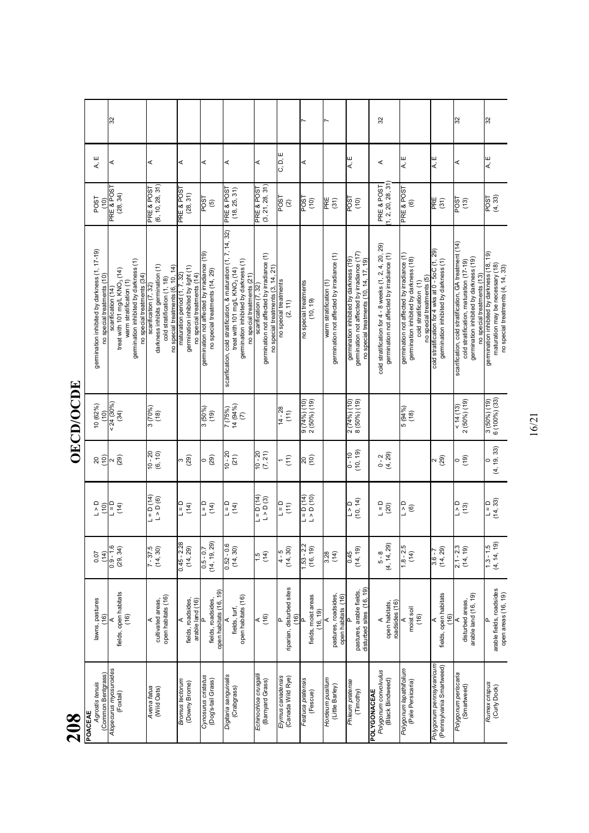| 208                                                              |                                                      |                             |                                                        |                           | <b>OECD/OCDE</b>                     |                                                                                                                                                                                     |                                        |         |    |
|------------------------------------------------------------------|------------------------------------------------------|-----------------------------|--------------------------------------------------------|---------------------------|--------------------------------------|-------------------------------------------------------------------------------------------------------------------------------------------------------------------------------------|----------------------------------------|---------|----|
| (Common Bentgrass)<br>Agrostis tenuis<br>POACEAE                 | lawns, pastures<br>$\widetilde{6}$                   | 0.07<br>(14)                | $\frac{1}{2}$<br>(10)                                  | $R_{0}$                   | 10(62%)<br>(10)                      | germination inhibited by darkness (1, 17-19)<br>no special treatments (10)                                                                                                          | POST<br>(10)                           | ш<br><  |    |
| Alopecurus myosuroides<br>(Foxtail)                              | fields, open habitats<br>(16)<br>⋖                   | $0.9 - 1.6$<br>(29, 34)     | $\begin{array}{c} 0 \\ 1 \end{array}$<br>(14)          | (29)                      | $< 24 (30\%)$<br>(34)                | germination inhibited by darkness (1)<br>treat with 101 mg/L KNO <sub>3</sub> (14)<br>no special treatments (34)<br>warm stratification (1)<br>scarification (14)                   | PRE & POS<br>(28, 34)                  | ⋖       | 32 |
| Avena fatua<br>sua fatua<br>aus anevA                            | open habitats (16)<br>cultivated areas,<br>⋖         | $7 - 37.5$<br>(14, 30)      | $L = D(14)$<br>$\mathsf{L} > \mathsf{D}\left(6\right)$ | $\frac{10 - 20}{(6, 10)}$ | 3(70%)<br>(18)                       | darkness inhibits germination (1)<br>no special treatments (6, 10, 14)<br>cold stratification (1, 18)<br>scarification (7, 32)                                                      | PRE & POST<br>(6, 10, 28, 31)          | ⋖       |    |
| <b>Bromus tectorum</b><br>(Downy Brome)                          | fields, roadsides,<br>arable land (16)<br>⋖          | $0.45 - 2.28$<br>(14, 29)   | $L = D$<br>(14)                                        | (29)<br>3                 |                                      | germination inhibited by light (1)<br>maturation period (1, 7, 32)<br>no special treatments (14)                                                                                    | PRE & POST<br>(28, 31)                 | ⋖       |    |
| Cynosurus cristatus<br>(Dog's-tail Grass)                        | open habitats (16, 19)<br>fields, roadsides,         | (14, 19, 29)<br>$0.5 - 0.7$ | $\Box = \Box$<br>(14)                                  | (29)<br>$\circ$           | 3 (50%)<br>(19)                      | germination not affected by irradiance (19)<br>no special treatments (14, 29)                                                                                                       | $\frac{1}{2004}$<br>$\widehat{\Theta}$ | ⋖       |    |
| Digitaria sanguinalis<br>(Crabgrass)                             | open habitats (16)<br>fields, turf,<br>⋖             | $0.52 - 0.6$<br>(14, 30)    | $1 = 0$<br>(14)                                        | $10 - 20$<br>(21)         | $14 (94\%)$<br>(7)<br>7(75%)         | scarification, cold stratification, & maturation (1, 7, 14, 32)<br>germination inhibited by darkness (1)<br>treat with 101 mg/L KNO <sub>3</sub> (14)<br>no special treatments (21) | PRE & POST<br>(18, 25, 31)             | ⋖       |    |
| Echinochloa crusgalli<br>(Barnyard Grass)                        | $\leq \frac{6}{5}$                                   | $\frac{1.5}{(14)}$          | $L = D(14)$<br>L > D(3)                                | $\frac{10-20}{(7, 21)}$   |                                      | germination not affected by irradiance (1)<br>no special treatments (3, 14, 21)<br>scarification (7, 32)                                                                            | (3, 21, 28, 31)<br>PRE & POST          | ⋖       |    |
| Elymus canadensis<br>(Canada Wild Rye)                           | riparian, disturbed sites<br>(16)                    | (14, 30)<br>$4 - 5$         | $\begin{array}{c}\n0 \\ 1\n\end{array}$<br>(11)        | (11)                      | $14 - 28$<br>(11)                    | no special treatments<br>(2, 11)                                                                                                                                                    | 180d<br>$\widehat{\infty}$             | C, D, E |    |
| Festuca pratensis<br>(Fescue)                                    | fields, moist areas<br>(16, 19)                      | $1.53 - 2.2$<br>(16, 19)    | $(01)$ $Q = 7$<br>( $(14)$ )                           | ສີ<br>ຂ                   | $\frac{9(74\%)(10)}{2(50\%)(19)}$    | no special treatments<br>(10, 19)                                                                                                                                                   | <b>POST</b><br>(10)                    | ⋖       |    |
| Hordeum pusillum<br>(Little Barley)                              | pastures, roadsides,<br>open habitats (16)           | $\frac{28}{3.28}$           |                                                        |                           |                                      | germination not affected by irradiance (1)<br>warm stratification (1)                                                                                                               | PRE<br>(31)                            |         |    |
| Phleum pratense<br>(Timothy)                                     | pastures, arable fields,<br>disturbed sites (16, 19) | (14, 19)<br>0.45            | (10, 14)<br>$\overline{a}$                             | (10, 19)                  | (61) (%09) 8<br>(01) (%12) 7         | germination not affected by irradiance (17)<br>germination inhibited by darkness (19)<br>no special treatments (10, 14, 17, 19)                                                     | $\frac{1}{2004}$<br>(10)               | E<br>K  |    |
| Polygonum convolvulus<br>(Black Bindweed)<br><b>POLYGONACEAE</b> | roadsides (16)<br>open habitats,<br>⋖                | (4, 14, 29)<br>$5 - 8$      | $\begin{array}{c}\n 0 \\  0 \\  0\n \end{array}$       | $0 - 2$<br>(4, 29)        |                                      | cold stratification for 4 - 8 weeks (1, 2, 4, 20, 29)<br>germination not affected by irradiance (1)                                                                                 | 1, 2, 20, 28, 31<br>PRE&POST           | ⋖       | 32 |
| Polygonum lapathifolium<br>(Pale Persicaria)                     | moist soil<br>(16)                                   | $1.8 - 2.5$<br>(14)         | $\sim 1$<br>$\widehat{\mathbf{e}}$                     |                           | 5(94%)<br>(18)                       | germination not affected by irradiance (1)<br>germination inhibited by darkness (18)<br>no special treatments (5)<br>cold stratification (1)                                        | PRE & POST<br>$\widehat{\mathbf{e}}$   | A, E    |    |
| Polygonum pennsylvanicum<br>(Pennsylvania Smartweed)             | fields, open habitats<br>(16)<br>⋖                   | (14, 29)<br>$3.6 - 7$       |                                                        | (29)<br>2                 |                                      | cold stratification for 4 wks at 0 - 5oC (1, 29)<br>germination inhibited by darkness (1)                                                                                           | PRE<br>(31)                            | ⊞<br>√  |    |
| Polygonum periscaria<br>(Smartweed)                              | arable land (16, 19)<br>disturbed areas,             | $2.1 - 2.3$<br>(14, 19)     | $\frac{1}{2}$<br>(13)                                  | $\frac{6}{5}$             | $2(50\%)(19)$<br>14(13)              | scarification, cold stratification, GA treatment (14)<br>germination inhibited by darkness (19)<br>cold stratification, maturation (17-19)<br>no special treatments (13)            | <b>LSOd</b><br>(13)                    | ⋖       | 32 |
| Rumex crispus<br>(Curly Dock)                                    | arable fields, roadsides<br>open areas (16, 19)      | $1.3 - 1.5$<br>(4, 14, 19)  | (14, 33)<br>$\Box = \Box$                              | (4, 19, 33)<br>0          | $\frac{3 (50\%)(19)}{6 (100\%)(33)}$ | germination inhibited by darkness (18, 19)<br>maturation may be necessary (18)<br>no special treatments (4, 14, 33)                                                                 | POST<br>(4, 33)                        | A, E    | 32 |

16/21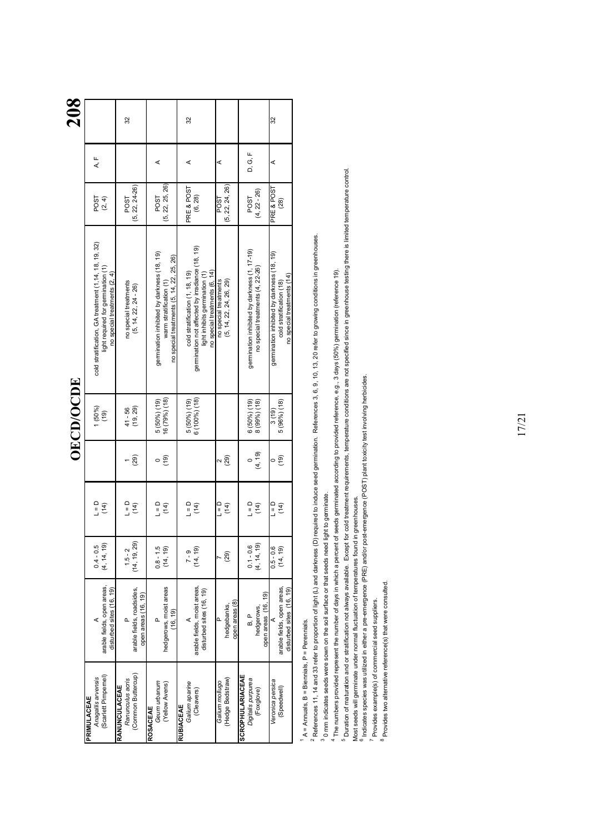| 208              |                                                                                                                            | 32                                                             |                                                                                                                    | 32                                                                                                                                                    |                                                  |                                                                                  | 32                                                                                                   |
|------------------|----------------------------------------------------------------------------------------------------------------------------|----------------------------------------------------------------|--------------------------------------------------------------------------------------------------------------------|-------------------------------------------------------------------------------------------------------------------------------------------------------|--------------------------------------------------|----------------------------------------------------------------------------------|------------------------------------------------------------------------------------------------------|
|                  | A, F                                                                                                                       |                                                                | ⋖                                                                                                                  | ⋖                                                                                                                                                     | ⋖                                                | D, G, F                                                                          | ⋖                                                                                                    |
|                  | POST<br>(2, 4)                                                                                                             | $(5, 22, 24-26)$<br><b>POST</b>                                | (5, 22, 25, 26)<br>POST                                                                                            | PRE & POST<br>(6, 28)                                                                                                                                 | (5, 22, 24, 26)<br>POST                          | $(4, 22 - 26)$<br>POST                                                           | PRE & POST<br>(28)                                                                                   |
| <b>DECD/OCDE</b> | cold stratification, GA treatment (1,14, 18, 19, 32)<br>light required for germination (1)<br>no special treatments (2, 4) | no special treatments<br>$(5, 14, 22, 24 - 26)$                | germination inhibited by darkness (18, 19)<br>no special treatments (5, 14, 22, 25, 26)<br>warm stratification (1) | germination not affected by irradiance (18, 19)<br>no special treatments (6, 14)<br>cold stratification (1, 18, 19)<br>light inhibits germination (1) | no special treatments<br>(5, 14, 22, 24, 26, 29) | germination inhibited by darkness (1, 17-19)<br>no special treatments (4, 22-26) | germination inhibited by darkness (18, 19)<br>no special treatments (14)<br>cold stratification (18) |
|                  | $(60%)$<br>(19)                                                                                                            | (19, 29)<br>41 - 56                                            | 16 (79%) (18)<br>$5(50\%)(19)$                                                                                     | $6(100\%)(18)$<br>$5(50\%)(19)$                                                                                                                       |                                                  | 6 (50%) (19)<br>8 (99%) (18)                                                     | $5(96\%)(18)$<br>3(19)                                                                               |
|                  |                                                                                                                            | (29)                                                           | (19)<br>$\circ$                                                                                                    |                                                                                                                                                       | (29)<br>2                                        | (4, 19)<br>$\circ$                                                               | (19)<br>$\circ$                                                                                      |
|                  | $\begin{array}{c}\n\Box \\ \Box \\ \Box\n\end{array}$                                                                      | $\Box = \Box$<br>(14)                                          | $\Box$<br>(14)                                                                                                     | $\Box = \Box$<br>(14)                                                                                                                                 | $1 = D$<br>(14)                                  | $\Box =$<br>(14)                                                                 | $L = D$<br>(14)                                                                                      |
|                  | (4, 14, 19)<br>$0.4 - 0.5$                                                                                                 | (14, 19, 29)<br>$1.5 - 2$                                      | $0.8 - 1.5$<br>(14, 19)                                                                                            | $7 - 9$<br>(14, 19)                                                                                                                                   | (29)                                             | (4, 14, 19)<br>$0.1 - 0.6$                                                       | $0.5 - 0.6$<br>(14, 19)                                                                              |
|                  | arable fields, open areas,<br>disturbed sites (16, 19)                                                                     | arable fields, roadsides,<br>open areas (16, 19)               | hedgerows, moist areas<br>(16, 19)                                                                                 | arable fields, moist areas,<br>disturbed sites (16, 19)<br>$\triangleleft$                                                                            | open areas (8)<br>hedgebanks.<br>$\Omega$        | open areas (16, 19)<br>hedgerows,<br>ட<br>ம                                      | arable fields, open areas,<br>disturbed sites (16, 19)                                               |
|                  | (Scarlett Pimpernel)<br>Anagallis arvensis<br><b>PRIMULACEAE</b>                                                           | (Common Buttercup)<br>Ranunculus acris<br><b>RANUNCULACEAE</b> | Geum urbanum<br>(Yellow Avens)<br><b>ROSACEAE</b>                                                                  | Galium aparine<br>(Cleavers)<br><b>RUBIACEAE</b>                                                                                                      | (Hedge Bedstraw)<br>Galium mollugo               | <b>SCROPHULARIACEAE</b><br>Digitalis purpurea<br>(Foxglove)                      | Veronica persica<br>(Speedwell)                                                                      |

1 A = Annuals, B = Biennials, P = Perennials. 1 A = Annuals, B = Biennials, P = Perennials.

2 References 11, 14 and 33 refer to proportion of light (L) and darkness (D) required to induce seed germination. References 3, 6, 9, 10, 13, 20 refer to growing conditions in greenhouses. 2 References 11, 14 and 33 refer to proportion of light (L) and darkness (D) required to induce seed germination. References 3, 6, 9, 10, 13, 20 refer to growing conditions in greenhouses.

<sup>3</sup> 0 mm indicates seeds were sown on the soil surface or that seeds need light to germinate. 3 0 mm indicates seeds were sown on the soil surface or that seeds need light to germinate.

4 The numbers provided represent the number of days in which a percent of seeds germinated according to provided reference, e.g., 3 days (50%) germination (reference 19). 4 The numbers provided represent the number of days in which a percent of seeds germinated according to provided reference, e.g., 3 days (50%) germination (reference 19).

<sup>5</sup> Duration of maturation and or stratification not always available. Except for cold treatment requirements, temperature conditions are not specified since in greenhouse testing there is limited temperature control. 5 Duration of maturation and or stratification not always available. Except for cold treatment requirements, temperature conditions are not specified since in greenhouse testing there is limited temperature control. Most seeds will germinate under normal fluctuation of temperatures found in greenhouses. Most seeds will germinate under normal fluctuation of temperatures found in greenhouses.

<sup>6</sup> Indicates species was utilized in either a pre-emergence (PRE) and/or post-emergence (POST) plant toxicity test involving herbicides.  $^6$  Indicates species was utilized in either a pre-emergence (PRE) and/or post-emergence (POST) plant toxicity test involving herbicides.

7 Provides example(s) of commercial seed suppliers.

Provides example(s) of commercial seed suppliers.

<sup>8</sup> Provides two alternative reference(s) that were consulted. 8 Provides two alternative reference(s) that were consulted.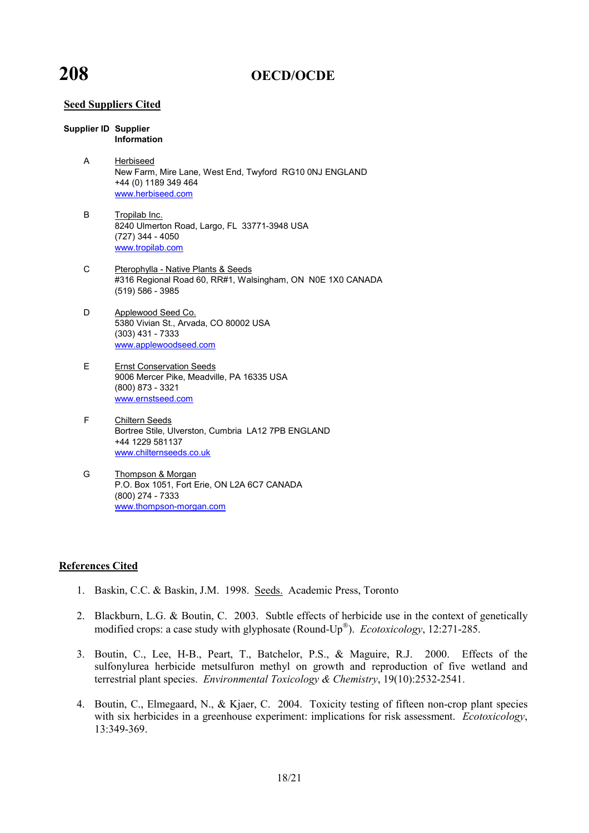### **Seed Suppliers Cited**

### **Supplier ID Supplier Information** A Herbiseed New Farm, Mire Lane, West End, Twyford RG10 0NJ ENGLAND +44 (0) 1189 349 464 www.herbiseed.com B Tropilab Inc. 8240 Ulmerton Road, Largo, FL 33771-3948 USA (727) 344 - 4050 www.tropilab.com C Pterophylla - Native Plants & Seeds #316 Regional Road 60, RR#1, Walsingham, ON N0E 1X0 CANADA (519) 586 - 3985 D Applewood Seed Co. 5380 Vivian St., Arvada, CO 80002 USA (303) 431 - 7333 www.applewoodseed.com E Ernst Conservation Seeds 9006 Mercer Pike, Meadville, PA 16335 USA (800) 873 - 3321 www.ernstseed.com F Chiltern Seeds Bortree Stile, Ulverston, Cumbria LA12 7PB ENGLAND +44 1229 581137 www.chilternseeds.co.uk

G Thompson & Morgan P.O. Box 1051, Fort Erie, ON L2A 6C7 CANADA (800) 274 - 7333 www.thompson-morgan.com

### **References Cited**

- 1. Baskin, C.C. & Baskin, J.M. 1998. Seeds. Academic Press, Toronto
- 2. Blackburn, L.G. & Boutin, C. 2003. Subtle effects of herbicide use in the context of genetically modified crops: a case study with glyphosate (Round-Up®). *Ecotoxicology*, 12:271-285.
- 3. Boutin, C., Lee, H-B., Peart, T., Batchelor, P.S., & Maguire, R.J. 2000. Effects of the sulfonylurea herbicide metsulfuron methyl on growth and reproduction of five wetland and terrestrial plant species. *Environmental Toxicology & Chemistry*, 19(10):2532-2541.
- 4. Boutin, C., Elmegaard, N., & Kjaer, C. 2004. Toxicity testing of fifteen non-crop plant species with six herbicides in a greenhouse experiment: implications for risk assessment. *Ecotoxicology*, 13:349-369.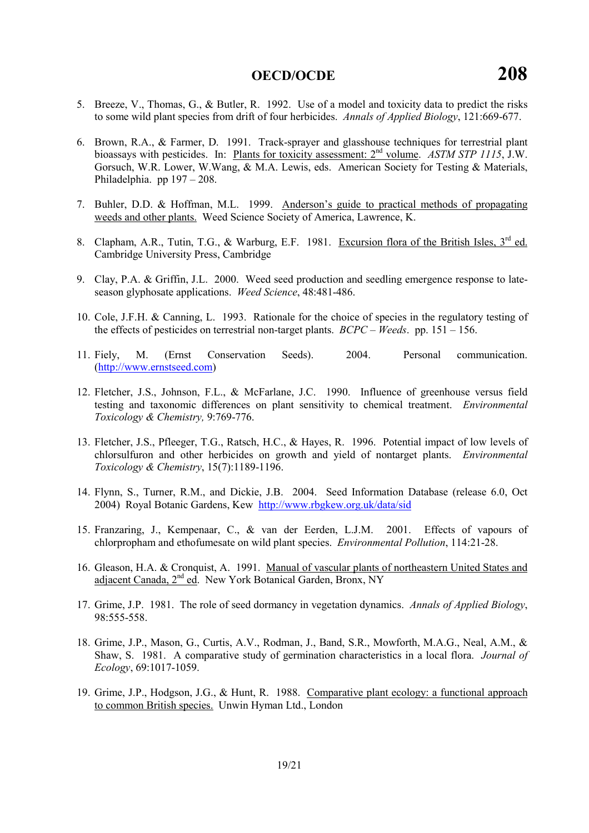- 5. Breeze, V., Thomas, G., & Butler, R. 1992. Use of a model and toxicity data to predict the risks to some wild plant species from drift of four herbicides. *Annals of Applied Biology*, 121:669-677.
- 6. Brown, R.A., & Farmer, D. 1991. Track-sprayer and glasshouse techniques for terrestrial plant bioassays with pesticides. In: Plants for toxicity assessment: 2nd volume. *ASTM STP 1115*, J.W. Gorsuch, W.R. Lower, W.Wang, & M.A. Lewis, eds. American Society for Testing & Materials, Philadelphia. pp 197 – 208.
- 7. Buhler, D.D. & Hoffman, M.L. 1999. Anderson's guide to practical methods of propagating weeds and other plants. Weed Science Society of America, Lawrence, K.
- 8. Clapham, A.R., Tutin, T.G., & Warburg, E.F. 1981. Excursion flora of the British Isles, 3<sup>rd</sup> ed. Cambridge University Press, Cambridge
- 9. Clay, P.A. & Griffin, J.L. 2000. Weed seed production and seedling emergence response to lateseason glyphosate applications. *Weed Science*, 48:481-486.
- 10. Cole, J.F.H. & Canning, L. 1993. Rationale for the choice of species in the regulatory testing of the effects of pesticides on terrestrial non-target plants. *BCPC – Weeds*. pp. 151 – 156.
- 11. Fiely, M. (Ernst Conservation Seeds). 2004. Personal communication. (http://www.ernstseed.com)
- 12. Fletcher, J.S., Johnson, F.L., & McFarlane, J.C. 1990. Influence of greenhouse versus field testing and taxonomic differences on plant sensitivity to chemical treatment. *Environmental Toxicology & Chemistry,* 9:769-776.
- 13. Fletcher, J.S., Pfleeger, T.G., Ratsch, H.C., & Hayes, R. 1996. Potential impact of low levels of chlorsulfuron and other herbicides on growth and yield of nontarget plants. *Environmental Toxicology & Chemistry*, 15(7):1189-1196.
- 14. Flynn, S., Turner, R.M., and Dickie, J.B. 2004. Seed Information Database (release 6.0, Oct 2004) Royal Botanic Gardens, Kew http://www.rbgkew.org.uk/data/sid
- 15. Franzaring, J., Kempenaar, C., & van der Eerden, L.J.M. 2001. Effects of vapours of chlorpropham and ethofumesate on wild plant species. *Environmental Pollution*, 114:21-28.
- 16. Gleason, H.A. & Cronquist, A. 1991. Manual of vascular plants of northeastern United States and adiacent Canada, 2<sup>nd</sup> ed. New York Botanical Garden, Bronx, NY
- 17. Grime, J.P. 1981. The role of seed dormancy in vegetation dynamics. *Annals of Applied Biology*, 98:555-558.
- 18. Grime, J.P., Mason, G., Curtis, A.V., Rodman, J., Band, S.R., Mowforth, M.A.G., Neal, A.M., & Shaw, S. 1981. A comparative study of germination characteristics in a local flora. *Journal of Ecology*, 69:1017-1059.
- 19. Grime, J.P., Hodgson, J.G., & Hunt, R. 1988. Comparative plant ecology: a functional approach to common British species. Unwin Hyman Ltd., London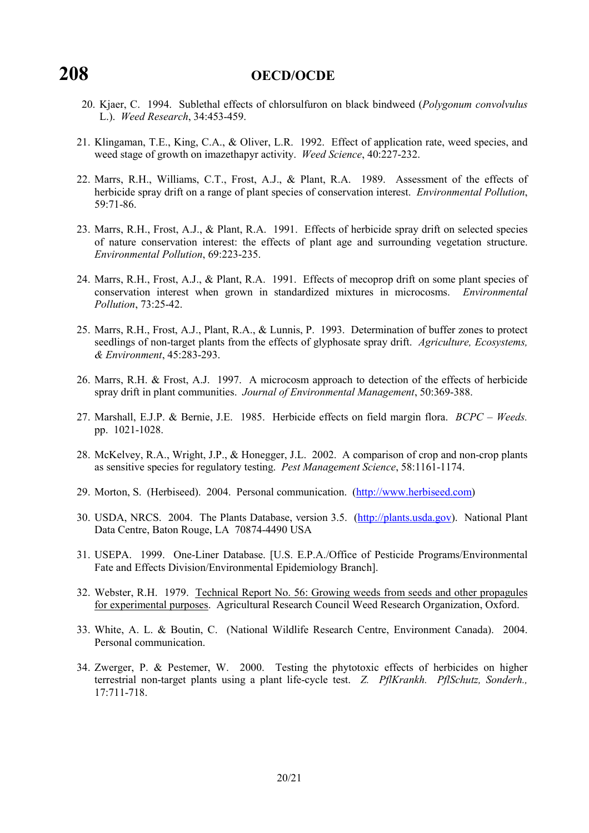- 20. Kjaer, C. 1994. Sublethal effects of chlorsulfuron on black bindweed (*Polygonum convolvulus* L.). *Weed Research*, 34:453-459.
- 21. Klingaman, T.E., King, C.A., & Oliver, L.R. 1992. Effect of application rate, weed species, and weed stage of growth on imazethapyr activity. *Weed Science*, 40:227-232.
- 22. Marrs, R.H., Williams, C.T., Frost, A.J., & Plant, R.A. 1989. Assessment of the effects of herbicide spray drift on a range of plant species of conservation interest. *Environmental Pollution*, 59:71-86.
- 23. Marrs, R.H., Frost, A.J., & Plant, R.A. 1991. Effects of herbicide spray drift on selected species of nature conservation interest: the effects of plant age and surrounding vegetation structure. *Environmental Pollution*, 69:223-235.
- 24. Marrs, R.H., Frost, A.J., & Plant, R.A. 1991. Effects of mecoprop drift on some plant species of conservation interest when grown in standardized mixtures in microcosms. *Environmental Pollution*, 73:25-42.
- 25. Marrs, R.H., Frost, A.J., Plant, R.A., & Lunnis, P. 1993. Determination of buffer zones to protect seedlings of non-target plants from the effects of glyphosate spray drift. *Agriculture, Ecosystems, & Environment*, 45:283-293.
- 26. Marrs, R.H. & Frost, A.J. 1997. A microcosm approach to detection of the effects of herbicide spray drift in plant communities. *Journal of Environmental Management*, 50:369-388.
- 27. Marshall, E.J.P. & Bernie, J.E. 1985. Herbicide effects on field margin flora. *BCPC Weeds.* pp. 1021-1028.
- 28. McKelvey, R.A., Wright, J.P., & Honegger, J.L. 2002. A comparison of crop and non-crop plants as sensitive species for regulatory testing. *Pest Management Science*, 58:1161-1174.
- 29. Morton, S. (Herbiseed). 2004. Personal communication. (http://www.herbiseed.com)
- 30. USDA, NRCS. 2004. The Plants Database, version 3.5. (http://plants.usda.gov). National Plant Data Centre, Baton Rouge, LA 70874-4490 USA
- 31. USEPA. 1999. One-Liner Database. [U.S. E.P.A./Office of Pesticide Programs/Environmental Fate and Effects Division/Environmental Epidemiology Branch].
- 32. Webster, R.H. 1979. Technical Report No. 56: Growing weeds from seeds and other propagules for experimental purposes. Agricultural Research Council Weed Research Organization, Oxford.
- 33. White, A. L. & Boutin, C. (National Wildlife Research Centre, Environment Canada). 2004. Personal communication.
- 34. Zwerger, P. & Pestemer, W. 2000. Testing the phytotoxic effects of herbicides on higher terrestrial non-target plants using a plant life-cycle test. *Z. PflKrankh. PflSchutz, Sonderh.,*  17:711-718.